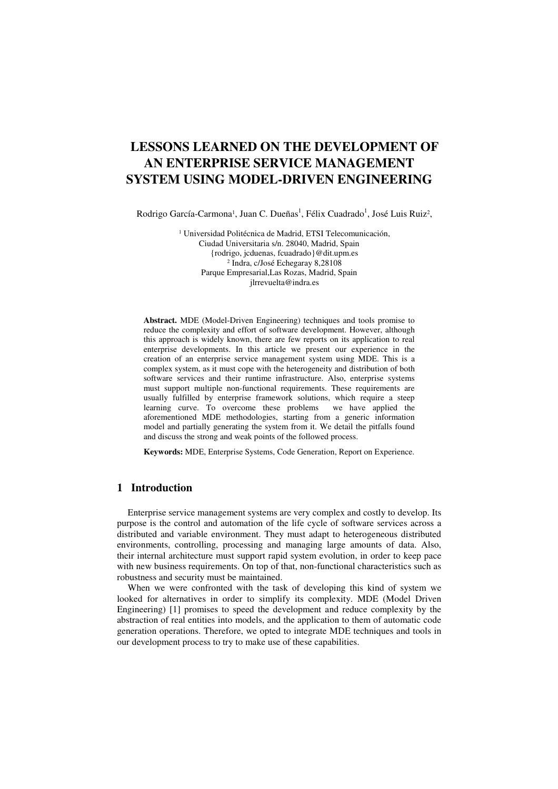# **LESSONS LEARNED ON THE DEVELOPMENT OF AN ENTERPRISE SERVICE MANAGEMENT SYSTEM USING MODEL-DRIVEN ENGINEERING**

Rodrigo García-Carmona<sup>1</sup>, Juan C. Dueñas<sup>1</sup>, Félix Cuadrado<sup>1</sup>, José Luis Ruiz<sup>2</sup>,

<sup>1</sup> Universidad Politécnica de Madrid, ETSI Telecomunicación, Ciudad Universitaria s/n. 28040, Madrid, Spain {rodrigo, jcduenas, fcuadrado}@dit.upm.es 2 Indra, c/José Echegaray 8,28108 Parque Empresarial,Las Rozas, Madrid, Spain jlrrevuelta@indra.es

**Abstract.** MDE (Model-Driven Engineering) techniques and tools promise to reduce the complexity and effort of software development. However, although this approach is widely known, there are few reports on its application to real enterprise developments. In this article we present our experience in the creation of an enterprise service management system using MDE. This is a complex system, as it must cope with the heterogeneity and distribution of both software services and their runtime infrastructure. Also, enterprise systems must support multiple non-functional requirements. These requirements are usually fulfilled by enterprise framework solutions, which require a steep learning curve. To overcome these problems we have applied the aforementioned MDE methodologies, starting from a generic information model and partially generating the system from it. We detail the pitfalls found and discuss the strong and weak points of the followed process.

**Keywords:** MDE, Enterprise Systems, Code Generation, Report on Experience.

## **1 Introduction**

Enterprise service management systems are very complex and costly to develop. Its purpose is the control and automation of the life cycle of software services across a distributed and variable environment. They must adapt to heterogeneous distributed environments, controlling, processing and managing large amounts of data. Also, their internal architecture must support rapid system evolution, in order to keep pace with new business requirements. On top of that, non-functional characteristics such as robustness and security must be maintained.

When we were confronted with the task of developing this kind of system we looked for alternatives in order to simplify its complexity. MDE (Model Driven Engineering) [1] promises to speed the development and reduce complexity by the abstraction of real entities into models, and the application to them of automatic code generation operations. Therefore, we opted to integrate MDE techniques and tools in our development process to try to make use of these capabilities.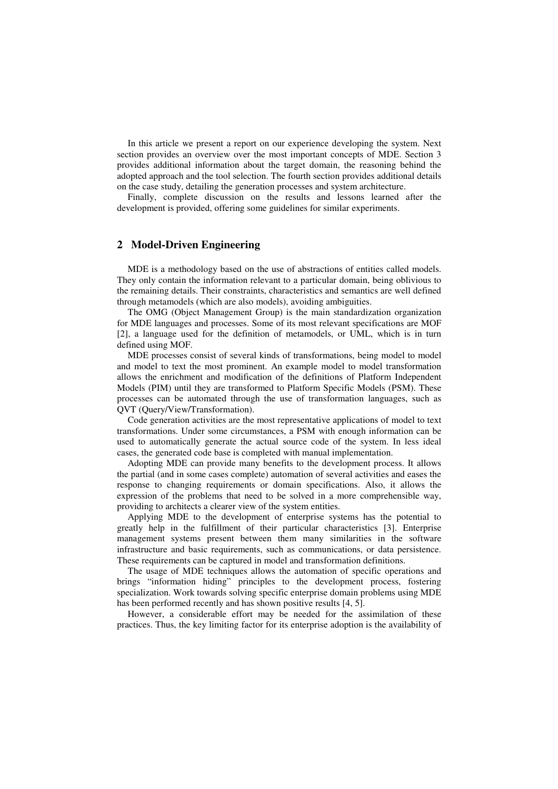In this article we present a report on our experience developing the system. Next section provides an overview over the most important concepts of MDE. Section 3 provides additional information about the target domain, the reasoning behind the adopted approach and the tool selection. The fourth section provides additional details on the case study, detailing the generation processes and system architecture.

Finally, complete discussion on the results and lessons learned after the development is provided, offering some guidelines for similar experiments.

## **2 Model-Driven Engineering**

MDE is a methodology based on the use of abstractions of entities called models. They only contain the information relevant to a particular domain, being oblivious to the remaining details. Their constraints, characteristics and semantics are well defined through metamodels (which are also models), avoiding ambiguities.

The OMG (Object Management Group) is the main standardization organization for MDE languages and processes. Some of its most relevant specifications are MOF [2], a language used for the definition of metamodels, or UML, which is in turn defined using MOF.

MDE processes consist of several kinds of transformations, being model to model and model to text the most prominent. An example model to model transformation allows the enrichment and modification of the definitions of Platform Independent Models (PIM) until they are transformed to Platform Specific Models (PSM). These processes can be automated through the use of transformation languages, such as QVT (Query/View/Transformation).

Code generation activities are the most representative applications of model to text transformations. Under some circumstances, a PSM with enough information can be used to automatically generate the actual source code of the system. In less ideal cases, the generated code base is completed with manual implementation.

Adopting MDE can provide many benefits to the development process. It allows the partial (and in some cases complete) automation of several activities and eases the response to changing requirements or domain specifications. Also, it allows the expression of the problems that need to be solved in a more comprehensible way, providing to architects a clearer view of the system entities.

Applying MDE to the development of enterprise systems has the potential to greatly help in the fulfillment of their particular characteristics [3]. Enterprise management systems present between them many similarities in the software infrastructure and basic requirements, such as communications, or data persistence. These requirements can be captured in model and transformation definitions.

The usage of MDE techniques allows the automation of specific operations and brings "information hiding" principles to the development process, fostering specialization. Work towards solving specific enterprise domain problems using MDE has been performed recently and has shown positive results [4, 5].

However, a considerable effort may be needed for the assimilation of these practices. Thus, the key limiting factor for its enterprise adoption is the availability of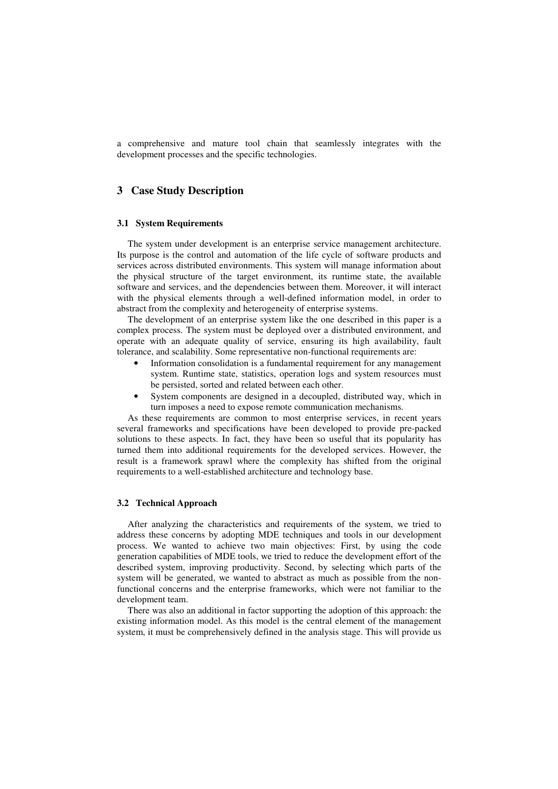a comprehensive and mature tool chain that seamlessly integrates with the development processes and the specific technologies.

## **3 Case Study Description**

#### **3.1 System Requirements**

The system under development is an enterprise service management architecture. Its purpose is the control and automation of the life cycle of software products and services across distributed environments. This system will manage information about the physical structure of the target environment, its runtime state, the available software and services, and the dependencies between them. Moreover, it will interact with the physical elements through a well-defined information model, in order to abstract from the complexity and heterogeneity of enterprise systems.

The development of an enterprise system like the one described in this paper is a complex process. The system must be deployed over a distributed environment, and operate with an adequate quality of service, ensuring its high availability, fault tolerance, and scalability. Some representative non-functional requirements are:

- Information consolidation is a fundamental requirement for any management system. Runtime state, statistics, operation logs and system resources must be persisted, sorted and related between each other.
- System components are designed in a decoupled, distributed way, which in turn imposes a need to expose remote communication mechanisms.

As these requirements are common to most enterprise services, in recent years several frameworks and specifications have been developed to provide pre-packed solutions to these aspects. In fact, they have been so useful that its popularity has turned them into additional requirements for the developed services. However, the result is a framework sprawl where the complexity has shifted from the original requirements to a well-established architecture and technology base.

#### **3.2 Technical Approach**

After analyzing the characteristics and requirements of the system, we tried to address these concerns by adopting MDE techniques and tools in our development process. We wanted to achieve two main objectives: First, by using the code generation capabilities of MDE tools, we tried to reduce the development effort of the described system, improving productivity. Second, by selecting which parts of the system will be generated, we wanted to abstract as much as possible from the nonfunctional concerns and the enterprise frameworks, which were not familiar to the development team.

There was also an additional in factor supporting the adoption of this approach: the existing information model. As this model is the central element of the management system, it must be comprehensively defined in the analysis stage. This will provide us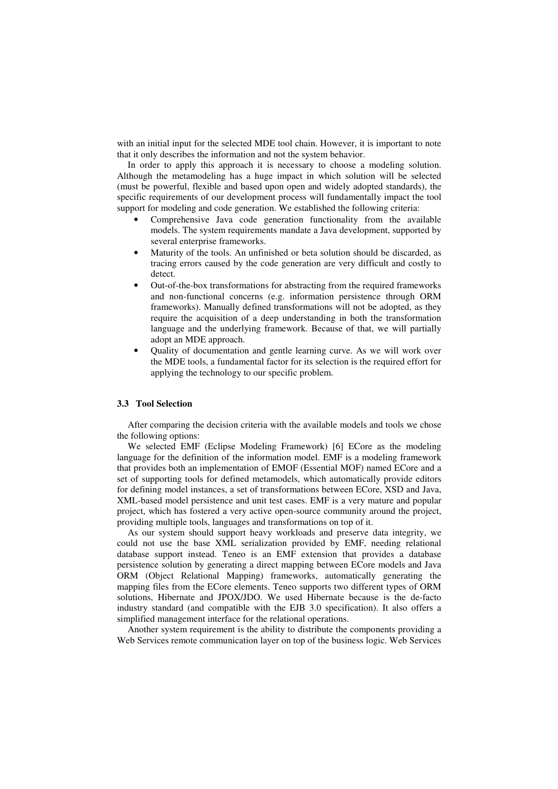with an initial input for the selected MDE tool chain. However, it is important to note that it only describes the information and not the system behavior.

In order to apply this approach it is necessary to choose a modeling solution. Although the metamodeling has a huge impact in which solution will be selected (must be powerful, flexible and based upon open and widely adopted standards), the specific requirements of our development process will fundamentally impact the tool support for modeling and code generation. We established the following criteria:

- Comprehensive Java code generation functionality from the available models. The system requirements mandate a Java development, supported by several enterprise frameworks.
- Maturity of the tools. An unfinished or beta solution should be discarded, as tracing errors caused by the code generation are very difficult and costly to detect.
- Out-of-the-box transformations for abstracting from the required frameworks and non-functional concerns (e.g. information persistence through ORM frameworks). Manually defined transformations will not be adopted, as they require the acquisition of a deep understanding in both the transformation language and the underlying framework. Because of that, we will partially adopt an MDE approach.
- Quality of documentation and gentle learning curve. As we will work over the MDE tools, a fundamental factor for its selection is the required effort for applying the technology to our specific problem.

### **3.3 Tool Selection**

After comparing the decision criteria with the available models and tools we chose the following options:

We selected EMF (Eclipse Modeling Framework) [6] ECore as the modeling language for the definition of the information model. EMF is a modeling framework that provides both an implementation of EMOF (Essential MOF) named ECore and a set of supporting tools for defined metamodels, which automatically provide editors for defining model instances, a set of transformations between ECore, XSD and Java, XML-based model persistence and unit test cases. EMF is a very mature and popular project, which has fostered a very active open-source community around the project, providing multiple tools, languages and transformations on top of it.

As our system should support heavy workloads and preserve data integrity, we could not use the base XML serialization provided by EMF, needing relational database support instead. Teneo is an EMF extension that provides a database persistence solution by generating a direct mapping between ECore models and Java ORM (Object Relational Mapping) frameworks, automatically generating the mapping files from the ECore elements. Teneo supports two different types of ORM solutions, Hibernate and JPOX/JDO. We used Hibernate because is the de-facto industry standard (and compatible with the EJB 3.0 specification). It also offers a simplified management interface for the relational operations.

Another system requirement is the ability to distribute the components providing a Web Services remote communication layer on top of the business logic. Web Services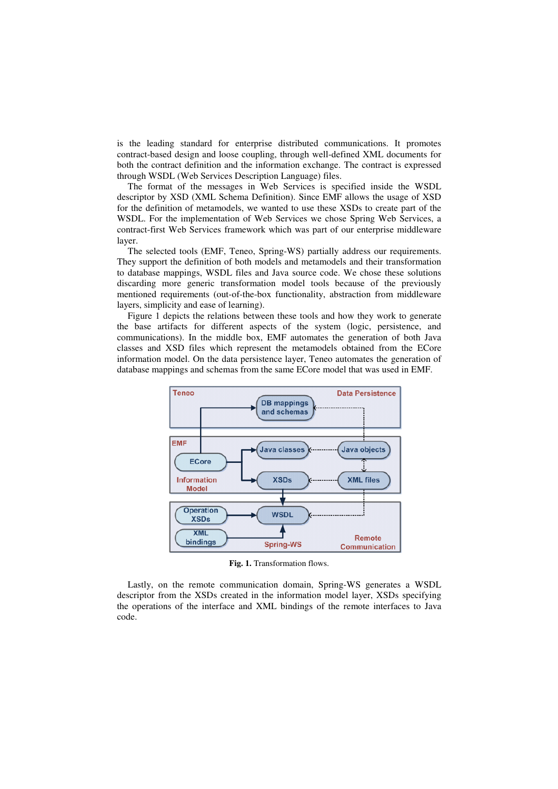is the leading standard for enterprise distributed communications. It promotes contract-based design and loose coupling, through well-defined XML documents for both the contract definition and the information exchange. The contract is expressed through WSDL (Web Services Description Language) files.

The format of the messages in Web Services is specified inside the WSDL descriptor by XSD (XML Schema Definition). Since EMF allows the usage of XSD for the definition of metamodels, we wanted to use these XSDs to create part of the WSDL. For the implementation of Web Services we chose Spring Web Services, a contract-first Web Services framework which was part of our enterprise middleware layer.

The selected tools (EMF, Teneo, Spring-WS) partially address our requirements. They support the definition of both models and metamodels and their transformation to database mappings, WSDL files and Java source code. We chose these solutions discarding more generic transformation model tools because of the previously mentioned requirements (out-of-the-box functionality, abstraction from middleware layers, simplicity and ease of learning).

Figure 1 depicts the relations between these tools and how they work to generate the base artifacts for different aspects of the system (logic, persistence, and communications). In the middle box, EMF automates the generation of both Java classes and XSD files which represent the metamodels obtained from the ECore information model. On the data persistence layer, Teneo automates the generation of database mappings and schemas from the same ECore model that was used in EMF.



**Fig. 1.** Transformation flows.

Lastly, on the remote communication domain, Spring-WS generates a WSDL descriptor from the XSDs created in the information model layer, XSDs specifying the operations of the interface and XML bindings of the remote interfaces to Java code.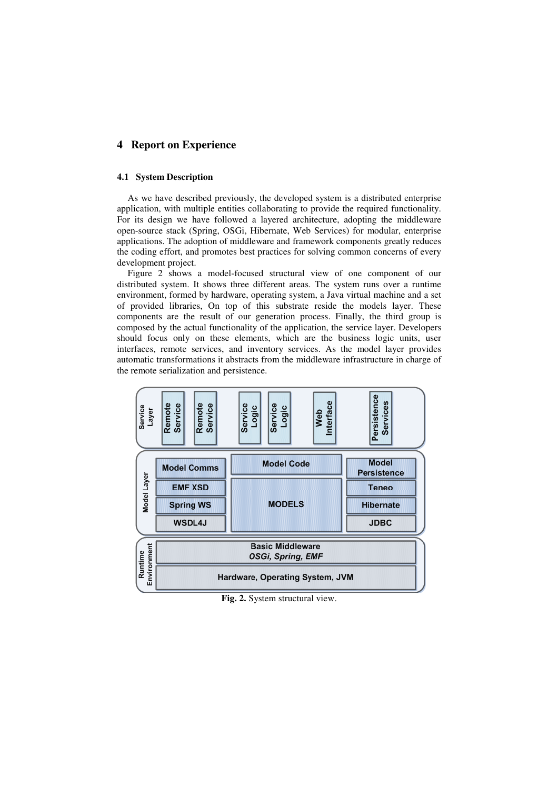## **4 Report on Experience**

#### **4.1 System Description**

As we have described previously, the developed system is a distributed enterprise application, with multiple entities collaborating to provide the required functionality. For its design we have followed a layered architecture, adopting the middleware open-source stack (Spring, OSGi, Hibernate, Web Services) for modular, enterprise applications. The adoption of middleware and framework components greatly reduces the coding effort, and promotes best practices for solving common concerns of every development project.

Figure 2 shows a model-focused structural view of one component of our distributed system. It shows three different areas. The system runs over a runtime environment, formed by hardware, operating system, a Java virtual machine and a set of provided libraries, On top of this substrate reside the models layer. These components are the result of our generation process. Finally, the third group is composed by the actual functionality of the application, the service layer. Developers should focus only on these elements, which are the business logic units, user interfaces, remote services, and inventory services. As the model layer provides automatic transformations it abstracts from the middleware infrastructure in charge of the remote serialization and persistence.



**Fig. 2.** System structural view.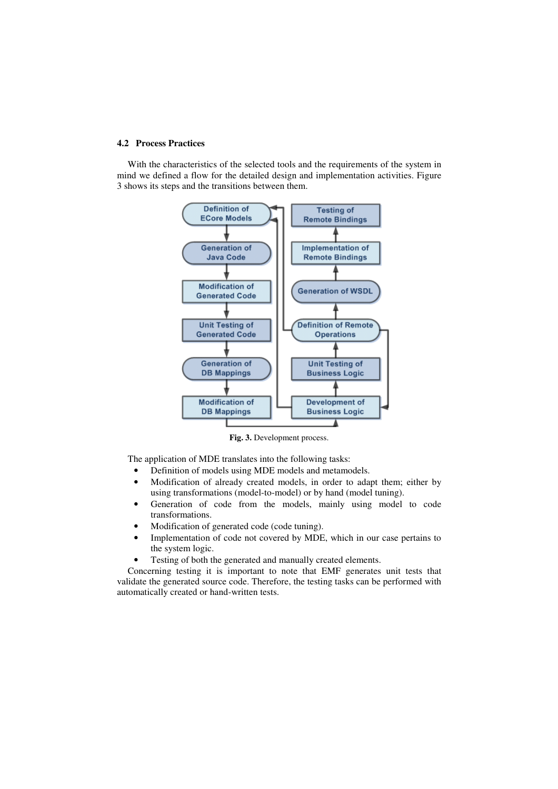#### **4.2 Process Practices**

With the characteristics of the selected tools and the requirements of the system in mind we defined a flow for the detailed design and implementation activities. Figure 3 shows its steps and the transitions between them.



**Fig. 3.** Development process.

The application of MDE translates into the following tasks:

- Definition of models using MDE models and metamodels.
- Modification of already created models, in order to adapt them; either by using transformations (model-to-model) or by hand (model tuning).
- Generation of code from the models, mainly using model to code transformations.
- Modification of generated code (code tuning).
- Implementation of code not covered by MDE, which in our case pertains to the system logic.
- Testing of both the generated and manually created elements.

Concerning testing it is important to note that EMF generates unit tests that validate the generated source code. Therefore, the testing tasks can be performed with automatically created or hand-written tests.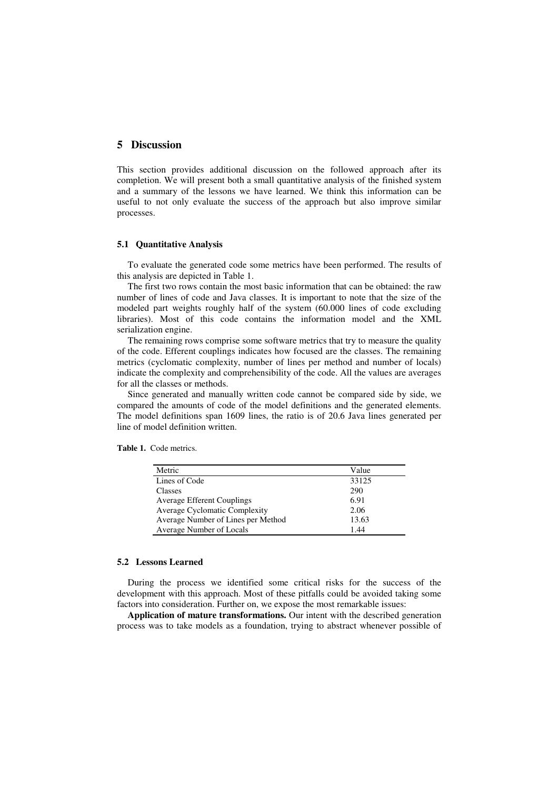### **5 Discussion**

This section provides additional discussion on the followed approach after its completion. We will present both a small quantitative analysis of the finished system and a summary of the lessons we have learned. We think this information can be useful to not only evaluate the success of the approach but also improve similar processes.

#### **5.1 Quantitative Analysis**

To evaluate the generated code some metrics have been performed. The results of this analysis are depicted in Table 1.

The first two rows contain the most basic information that can be obtained: the raw number of lines of code and Java classes. It is important to note that the size of the modeled part weights roughly half of the system (60.000 lines of code excluding libraries). Most of this code contains the information model and the XML serialization engine.

The remaining rows comprise some software metrics that try to measure the quality of the code. Efferent couplings indicates how focused are the classes. The remaining metrics (cyclomatic complexity, number of lines per method and number of locals) indicate the complexity and comprehensibility of the code. All the values are averages for all the classes or methods.

Since generated and manually written code cannot be compared side by side, we compared the amounts of code of the model definitions and the generated elements. The model definitions span 1609 lines, the ratio is of 20.6 Java lines generated per line of model definition written.

**Table 1.** Code metrics.

| Metric                               | Value |
|--------------------------------------|-------|
| Lines of Code                        | 33125 |
| Classes                              | 290   |
| <b>Average Efferent Couplings</b>    | 6.91  |
| <b>Average Cyclomatic Complexity</b> | 2.06  |
| Average Number of Lines per Method   | 13.63 |
| Average Number of Locals             | 1.44  |

#### **5.2 Lessons Learned**

During the process we identified some critical risks for the success of the development with this approach. Most of these pitfalls could be avoided taking some factors into consideration. Further on, we expose the most remarkable issues:

**Application of mature transformations.** Our intent with the described generation process was to take models as a foundation, trying to abstract whenever possible of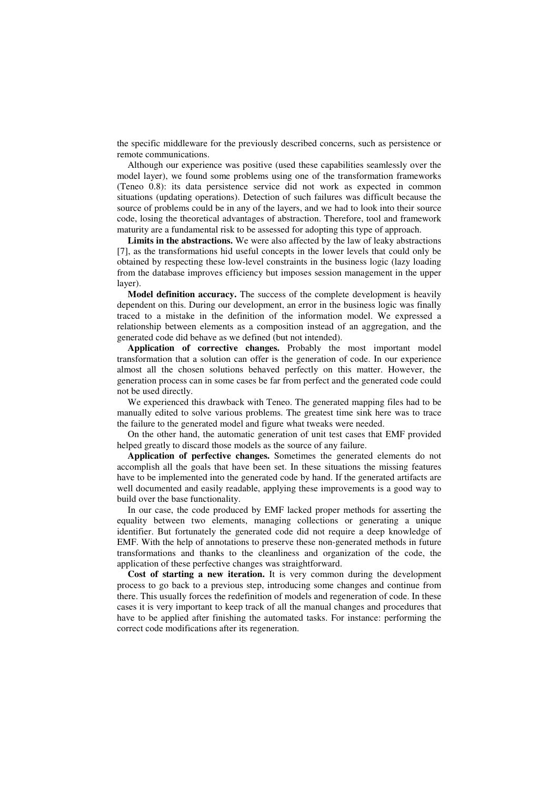the specific middleware for the previously described concerns, such as persistence or remote communications.

Although our experience was positive (used these capabilities seamlessly over the model layer), we found some problems using one of the transformation frameworks (Teneo 0.8): its data persistence service did not work as expected in common situations (updating operations). Detection of such failures was difficult because the source of problems could be in any of the layers, and we had to look into their source code, losing the theoretical advantages of abstraction. Therefore, tool and framework maturity are a fundamental risk to be assessed for adopting this type of approach.

**Limits in the abstractions.** We were also affected by the law of leaky abstractions [7], as the transformations hid useful concepts in the lower levels that could only be obtained by respecting these low-level constraints in the business logic (lazy loading from the database improves efficiency but imposes session management in the upper layer).

**Model definition accuracy.** The success of the complete development is heavily dependent on this. During our development, an error in the business logic was finally traced to a mistake in the definition of the information model. We expressed a relationship between elements as a composition instead of an aggregation, and the generated code did behave as we defined (but not intended).

**Application of corrective changes.** Probably the most important model transformation that a solution can offer is the generation of code. In our experience almost all the chosen solutions behaved perfectly on this matter. However, the generation process can in some cases be far from perfect and the generated code could not be used directly.

We experienced this drawback with Teneo. The generated mapping files had to be manually edited to solve various problems. The greatest time sink here was to trace the failure to the generated model and figure what tweaks were needed.

On the other hand, the automatic generation of unit test cases that EMF provided helped greatly to discard those models as the source of any failure.

**Application of perfective changes.** Sometimes the generated elements do not accomplish all the goals that have been set. In these situations the missing features have to be implemented into the generated code by hand. If the generated artifacts are well documented and easily readable, applying these improvements is a good way to build over the base functionality.

In our case, the code produced by EMF lacked proper methods for asserting the equality between two elements, managing collections or generating a unique identifier. But fortunately the generated code did not require a deep knowledge of EMF. With the help of annotations to preserve these non-generated methods in future transformations and thanks to the cleanliness and organization of the code, the application of these perfective changes was straightforward.

**Cost of starting a new iteration.** It is very common during the development process to go back to a previous step, introducing some changes and continue from there. This usually forces the redefinition of models and regeneration of code. In these cases it is very important to keep track of all the manual changes and procedures that have to be applied after finishing the automated tasks. For instance: performing the correct code modifications after its regeneration.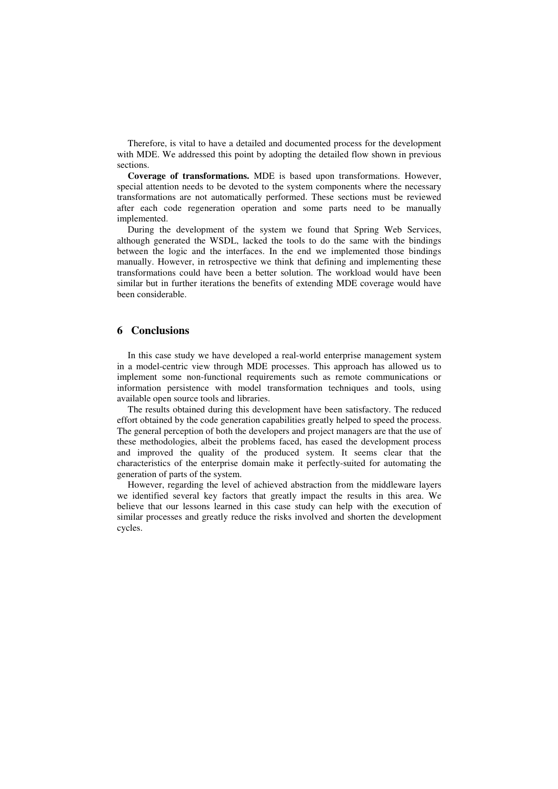Therefore, is vital to have a detailed and documented process for the development with MDE. We addressed this point by adopting the detailed flow shown in previous sections.

**Coverage of transformations.** MDE is based upon transformations. However, special attention needs to be devoted to the system components where the necessary transformations are not automatically performed. These sections must be reviewed after each code regeneration operation and some parts need to be manually implemented.

During the development of the system we found that Spring Web Services, although generated the WSDL, lacked the tools to do the same with the bindings between the logic and the interfaces. In the end we implemented those bindings manually. However, in retrospective we think that defining and implementing these transformations could have been a better solution. The workload would have been similar but in further iterations the benefits of extending MDE coverage would have been considerable.

### **6 Conclusions**

In this case study we have developed a real-world enterprise management system in a model-centric view through MDE processes. This approach has allowed us to implement some non-functional requirements such as remote communications or information persistence with model transformation techniques and tools, using available open source tools and libraries.

The results obtained during this development have been satisfactory. The reduced effort obtained by the code generation capabilities greatly helped to speed the process. The general perception of both the developers and project managers are that the use of these methodologies, albeit the problems faced, has eased the development process and improved the quality of the produced system. It seems clear that the characteristics of the enterprise domain make it perfectly-suited for automating the generation of parts of the system.

However, regarding the level of achieved abstraction from the middleware layers we identified several key factors that greatly impact the results in this area. We believe that our lessons learned in this case study can help with the execution of similar processes and greatly reduce the risks involved and shorten the development cycles.